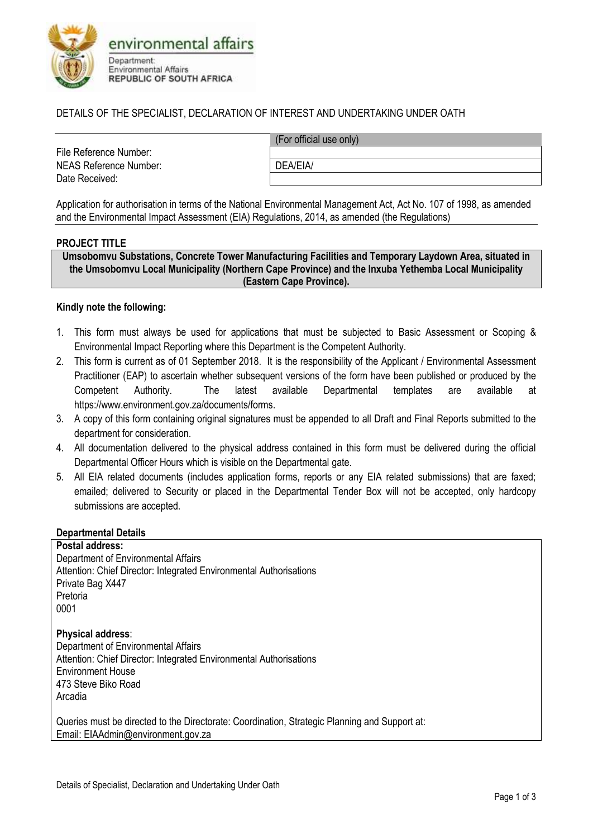

### DETAILS OF THE SPECIALIST, DECLARATION OF INTEREST AND UNDERTAKING UNDER OATH

File Reference Number: NEAS Reference Number: <br> DEA/EIA/ Date Received:

(For official use only)

Application for authorisation in terms of the National Environmental Management Act, Act No. 107 of 1998, as amended and the Environmental Impact Assessment (EIA) Regulations, 2014, as amended (the Regulations)

#### **PROJECT TITLE**

**Umsobomvu Substations, Concrete Tower Manufacturing Facilities and Temporary Laydown Area, situated in the Umsobomvu Local Municipality (Northern Cape Province) and the Inxuba Yethemba Local Municipality (Eastern Cape Province).**

#### **Kindly note the following:**

- 1. This form must always be used for applications that must be subjected to Basic Assessment or Scoping & Environmental Impact Reporting where this Department is the Competent Authority.
- 2. This form is current as of 01 September 2018. It is the responsibility of the Applicant / Environmental Assessment Practitioner (EAP) to ascertain whether subsequent versions of the form have been published or produced by the Competent Authority. The latest available Departmental templates are available at https://www.environment.gov.za/documents/forms.
- 3. A copy of this form containing original signatures must be appended to all Draft and Final Reports submitted to the department for consideration.
- 4. All documentation delivered to the physical address contained in this form must be delivered during the official Departmental Officer Hours which is visible on the Departmental gate.
- 5. All EIA related documents (includes application forms, reports or any EIA related submissions) that are faxed; emailed; delivered to Security or placed in the Departmental Tender Box will not be accepted, only hardcopy submissions are accepted.

#### **Departmental Details**

**Postal address:** Department of Environmental Affairs Attention: Chief Director: Integrated Environmental Authorisations Private Bag X447 Pretoria 0001

**Physical address**: Department of Environmental Affairs Attention: Chief Director: Integrated Environmental Authorisations Environment House 473 Steve Biko Road Arcadia

Queries must be directed to the Directorate: Coordination, Strategic Planning and Support at: Email: EIAAdmin@environment.gov.za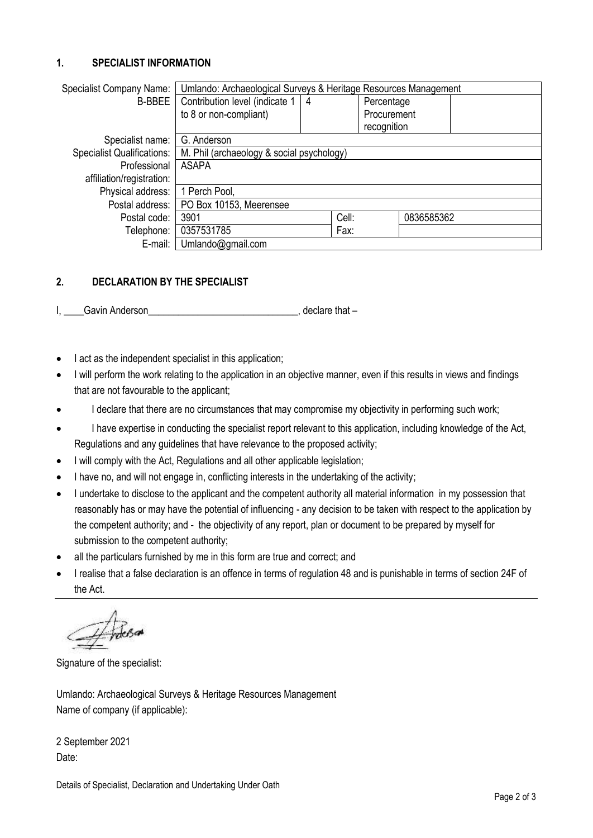## **1. SPECIALIST INFORMATION**

| <b>Specialist Company Name:</b>   | Umlando: Archaeological Surveys & Heritage Resources Management |   |             |            |  |
|-----------------------------------|-----------------------------------------------------------------|---|-------------|------------|--|
| <b>B-BBEE</b>                     | Contribution level (indicate 1                                  | 4 | Percentage  |            |  |
|                                   | to 8 or non-compliant)                                          |   | Procurement |            |  |
|                                   |                                                                 |   | recognition |            |  |
| Specialist name:                  | G. Anderson                                                     |   |             |            |  |
| <b>Specialist Qualifications:</b> | M. Phil (archaeology & social psychology)                       |   |             |            |  |
| Professional                      | <b>ASAPA</b>                                                    |   |             |            |  |
| affiliation/registration:         |                                                                 |   |             |            |  |
| Physical address:                 | 1 Perch Pool,                                                   |   |             |            |  |
| Postal address:                   | PO Box 10153, Meerensee                                         |   |             |            |  |
| Postal code:                      | 3901                                                            |   | Cell:       | 0836585362 |  |
| Telephone:                        | 0357531785                                                      |   | Fax:        |            |  |
| E-mail:                           | Umlando@gmail.com                                               |   |             |            |  |

# **2. DECLARATION BY THE SPECIALIST**

- I, Gavin Anderson **I, Anderson** and the set of the set of the set of the set of the set of the set of the set of the set of the set of the set of the set of the set of the set of the set of the set of the set of the set of
- I act as the independent specialist in this application;
- I will perform the work relating to the application in an objective manner, even if this results in views and findings that are not favourable to the applicant;
- I declare that there are no circumstances that may compromise my objectivity in performing such work;
- I have expertise in conducting the specialist report relevant to this application, including knowledge of the Act, Regulations and any guidelines that have relevance to the proposed activity;
- I will comply with the Act, Regulations and all other applicable legislation;
- I have no, and will not engage in, conflicting interests in the undertaking of the activity;
- I undertake to disclose to the applicant and the competent authority all material information in my possession that reasonably has or may have the potential of influencing - any decision to be taken with respect to the application by the competent authority; and - the objectivity of any report, plan or document to be prepared by myself for submission to the competent authority;
- all the particulars furnished by me in this form are true and correct; and
- I realise that a false declaration is an offence in terms of regulation 48 and is punishable in terms of section 24F of the Act.

 $Z$  holes as

Signature of the specialist:

Umlando: Archaeological Surveys & Heritage Resources Management Name of company (if applicable):

2 September 2021 Date: